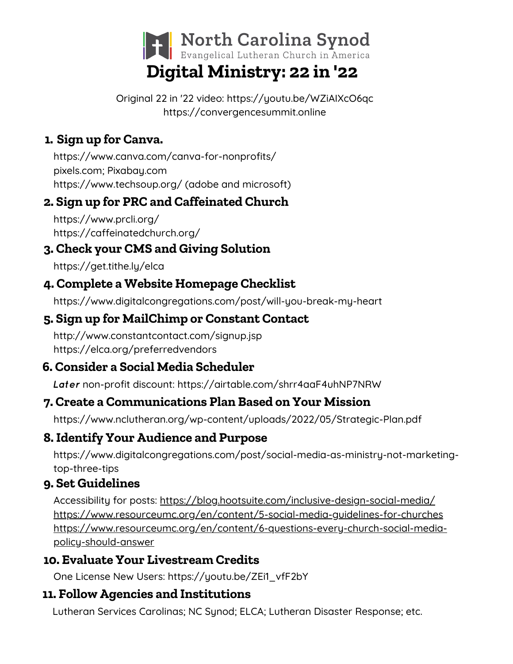

Original 22 in '22 video: <https://youtu.be/WZiAIXcO6qc> https://convergencesummit.online

# **1. Sign up for Canva.**

https://www.canva.com/canva-for-nonprofits/ pixels.com; Pixabay.com https://www.techsoup.org/ (adobe and microsoft)

# **2. Sign up for PRC and Caffeinated Church**

https://www.prcli.org/ https://caffeinatedchurch.org/

#### **3. Check your CMS and Giving Solution**

https://get.tithe.ly/elca

# **4. Complete a Website Homepage Checklist**

https://www.digitalcongregations.com/post/will-you-break-my-heart

# **5. Sign up for MailChimp or Constant Contact**

http://www.constantcontact.com/signup.jsp https://elca.org/preferredvendors

# **6. Consider a Social Media Scheduler**

*Later* non-profit discount: https://airtable.com/shrr4aaF4uhNP7NRW

# **7. Create a Communications Plan Based on Your Mission**

https://www.nclutheran.org/wp-content/uploads/2022/05/Strategic-Plan.pdf

# **8. Identify Your Audience and Purpose**

https://www.digitalcongregations.com/post/social-media-as-ministry-not-marketingtop-three-tips

#### **9. Set Guidelines**

Accessibility for posts: <https://blog.hootsuite.com/inclusive-design-social-media/> https://www.resourceumc.org/en/content/5-social-media-guidelines-for-churches https://www.resourceumc.org/en/content/6-questions-every-church-social-mediapolicy-should-answer

# **10. Evaluate Your Livestream Credits**

One License New Users: https://youtu.be/ZEi1\_vfF2bY

# **11. Follow Agencies and Institutions**

Lutheran Services Carolinas; NC Synod; ELCA; Lutheran Disaster Response; etc.